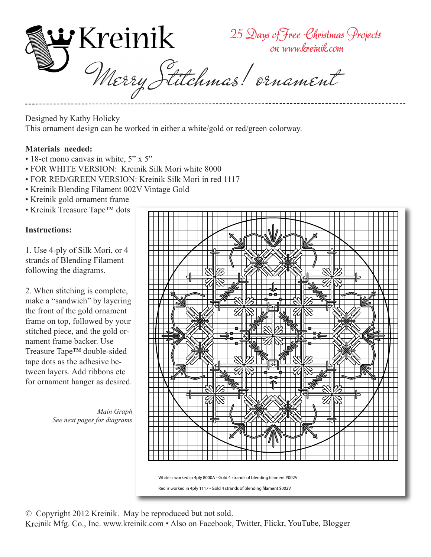

Designed by Kathy Holicky This ornament design can be worked in either a white/gold or red/green colorway.

## **Materials needed:**

- 18-ct mono canvas in white, 5" x 5"
- FOR WHITE VERSION: Kreinik Silk Mori white 8000
- FOR RED/GREEN VERSION: Kreinik Silk Mori in red 1117
- Kreinik Blending Filament 002V Vintage Gold
- Kreinik gold ornament frame
- Kreinik Treasure Tape™ dots

## **Instructions:**

1. Use 4-ply of Silk Mori, or 4 strands of Blending Filament following the diagrams.

2. When stitching is complete, make a "sandwich" by layering the front of the gold ornament frame on top, followed by your stitched piece, and the gold ornament frame backer. Use Treasure Tape™ double-sided tape dots as the adhesive between layers. Add ribbons etc for ornament hanger as desired.

> *Main Graph See next pages for diagrams*



Red is worked in 4ply 1117 - Gold 4 strands of blending filament \$002V

© Copyright 2012 Kreinik. May be reproduced but not sold.

Kreinik Mfg. Co., Inc. www.kreinik.com • Also on Facebook, Twitter, Flickr, YouTube, Blogger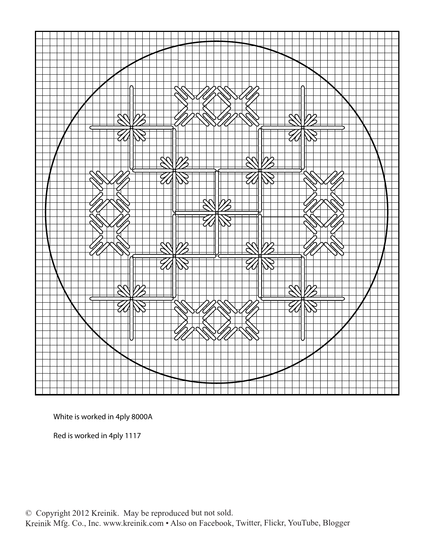

White is worked in 4ply 8000A

Red is worked in 4ply 1117

© Copyright 2012 Kreinik. May be reproduced but not sold. Kreinik Mfg. Co., Inc. www.kreinik.com • Also on Facebook, Twitter, Flickr, YouTube, Blogger